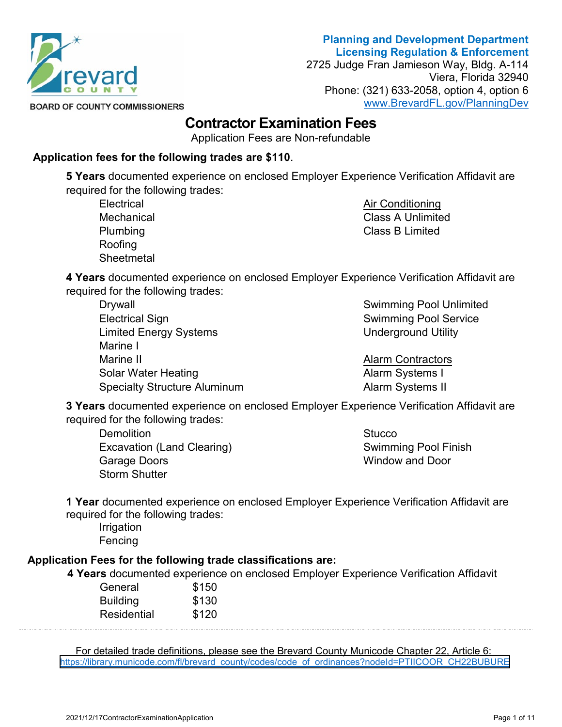

# **Planning and Development Department Licensing Regulation & Enforcement**

2725 Judge Fran Jamieson Way, Bldg. A-114 Viera, Florida 32940 Phone: (321) 633-2058, option 4, option 6 [www.BrevardFL.gov/PlanningDev](http://www.brevardfl.gov/PlanningDev)

**BOARD OF COUNTY COMMISSIONERS** 

# **Contractor Examination Fees**

Application Fees are Non-refundable

## **Application fees for the following trades are \$110**.

**5 Years** documented experience on enclosed Employer Experience Verification Affidavit are required for the following trades:

**Electrical Mechanical** Plumbing Roofing **Sheetmetal**  Air Conditioning Class A Unlimited Class B Limited

**4 Years** documented experience on enclosed Employer Experience Verification Affidavit are required for the following trades:

**Drywall** Electrical Sign Limited Energy Systems Marine I Marine II Solar Water Heating Specialty Structure Aluminum

Swimming Pool Unlimited Swimming Pool Service Underground Utility

Alarm Contractors Alarm Systems I Alarm Systems II

**3 Years** documented experience on enclosed Employer Experience Verification Affidavit are required for the following trades:

**Demolition** Excavation (Land Clearing) Garage Doors Storm Shutter

**Stucco** Swimming Pool Finish Window and Door

**1 Year** documented experience on enclosed Employer Experience Verification Affidavit are required for the following trades:

Irrigation Fencing

# **Application Fees for the following trade classifications are:**

 **4 Years** documented experience on enclosed Employer Experience Verification Affidavit

| General         | \$150 |
|-----------------|-------|
| <b>Building</b> | \$130 |
| Residential     | \$120 |

For detailed trade definitions, please see the Brevard County Municode Chapter 22, Article 6: [https://library.municode.com/fl/brevard\\_county/codes/code\\_of\\_ordinances?nodeId=PTIICOOR\\_CH22BUBURE](https://library.municode.com/fl/brevard_county/codes/code_of_ordinances?nodeId=PTIICOOR_CH22BUBURE)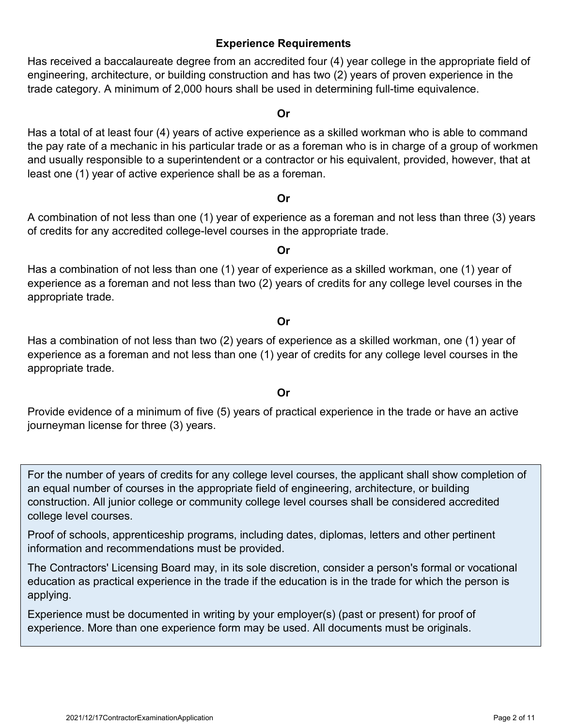### **Experience Requirements**

Has received a baccalaureate degree from an accredited four (4) year college in the appropriate field of engineering, architecture, or building construction and has two (2) years of proven experience in the trade category. A minimum of 2,000 hours shall be used in determining full-time equivalence.

#### **Or**

Has a total of at least four (4) years of active experience as a skilled workman who is able to command the pay rate of a mechanic in his particular trade or as a foreman who is in charge of a group of workmen and usually responsible to a superintendent or a contractor or his equivalent, provided, however, that at least one (1) year of active experience shall be as a foreman.

#### **Or**

A combination of not less than one (1) year of experience as a foreman and not less than three (3) years of credits for any accredited college-level courses in the appropriate trade.

**Or**

Has a combination of not less than one (1) year of experience as a skilled workman, one (1) year of experience as a foreman and not less than two (2) years of credits for any college level courses in the appropriate trade.

#### **Or**

Has a combination of not less than two (2) years of experience as a skilled workman, one (1) year of experience as a foreman and not less than one (1) year of credits for any college level courses in the appropriate trade.

#### **Or**

Provide evidence of a minimum of five (5) years of practical experience in the trade or have an active journeyman license for three (3) years.

For the number of years of credits for any college level courses, the applicant shall show completion of an equal number of courses in the appropriate field of engineering, architecture, or building construction. All junior college or community college level courses shall be considered accredited college level courses.

Proof of schools, apprenticeship programs, including dates, diplomas, letters and other pertinent information and recommendations must be provided.

The Contractors' Licensing Board may, in its sole discretion, consider a person's formal or vocational education as practical experience in the trade if the education is in the trade for which the person is applying.

Experience must be documented in writing by your employer(s) (past or present) for proof of experience. More than one experience form may be used. All documents must be originals.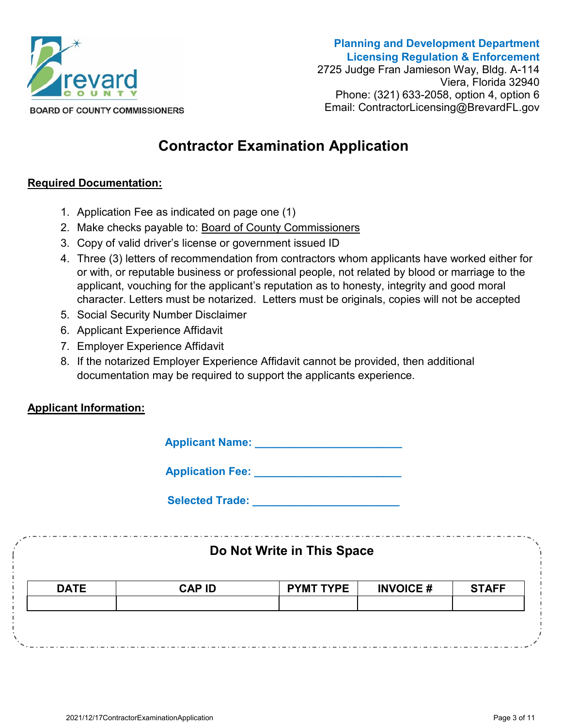

**Planning and Development Department Licensing Regulation & Enforcement** 2725 Judge Fran Jamieson Way, Bldg. A-114 Viera, Florida 32940 Phone: (321) 633-2058, option 4, option 6 Email: ContractorLicensing@BrevardFL.gov

# **Contractor Examination Application**

### **Required Documentation:**

- 1. Application Fee as indicated on page one (1)
- 2. Make checks payable to: Board of County Commissioners
- 3. Copy of valid driver's license or government issued ID
- 4. Three (3) letters of recommendation from contractors whom applicants have worked either for or with, or reputable business or professional people, not related by blood or marriage to the applicant, vouching for the applicant's reputation as to honesty, integrity and good moral character. Letters must be notarized. Letters must be originals, copies will not be accepted
- 5. Social Security Number Disclaimer
- 6. Applicant Experience Affidavit
- 7. Employer Experience Affidavit
- 8. If the notarized Employer Experience Affidavit cannot be provided, then additional documentation may be required to support the applicants experience.

# **Applicant Information:**

| <b>Applicant Name:</b> |  |
|------------------------|--|
|------------------------|--|

**Application Fee: \_\_\_\_\_\_\_\_\_\_\_\_\_\_\_\_\_\_\_\_\_\_\_\_**

**Selected Trade:**  $\blacksquare$ 

| Do Not Write in This Space |               |                  |                 |              |
|----------------------------|---------------|------------------|-----------------|--------------|
| <b>DATE</b>                | <b>CAP ID</b> | <b>PYMT TYPE</b> | <b>INVOICE#</b> | <b>STAFF</b> |
|                            |               |                  |                 |              |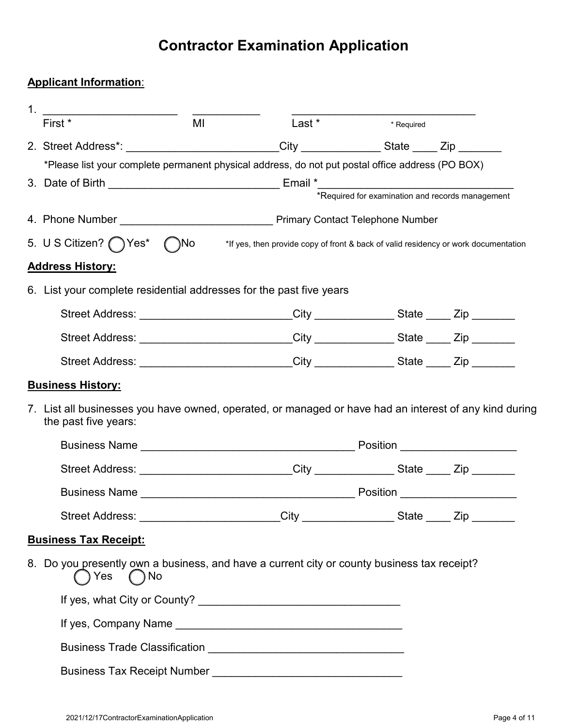# **Applicant Information**:

| 1. |                                                                                                                                |    |                                                                                                                                                                                                                                |                                                  |  |
|----|--------------------------------------------------------------------------------------------------------------------------------|----|--------------------------------------------------------------------------------------------------------------------------------------------------------------------------------------------------------------------------------|--------------------------------------------------|--|
|    | First *                                                                                                                        | MI | Last *                                                                                                                                                                                                                         | <b>Example 1</b> Required                        |  |
|    | 2. Street Address*: _________________________City _____________State ____ Zip _______                                          |    |                                                                                                                                                                                                                                |                                                  |  |
|    |                                                                                                                                |    | *Please list your complete permanent physical address, do not put postal office address (PO BOX)                                                                                                                               |                                                  |  |
|    | 3. Date of Birth __________________________________Email *_______________________                                              |    |                                                                                                                                                                                                                                |                                                  |  |
|    |                                                                                                                                |    |                                                                                                                                                                                                                                | *Required for examination and records management |  |
|    |                                                                                                                                |    |                                                                                                                                                                                                                                |                                                  |  |
|    | 5. U S Citizen? ( ) Yes* ( )No                                                                                                 |    | *If yes, then provide copy of front & back of valid residency or work documentation                                                                                                                                            |                                                  |  |
|    | <b>Address History:</b>                                                                                                        |    |                                                                                                                                                                                                                                |                                                  |  |
|    | 6. List your complete residential addresses for the past five years                                                            |    |                                                                                                                                                                                                                                |                                                  |  |
|    |                                                                                                                                |    | Street Address: ___________________________City ______________State _____ Zip ________                                                                                                                                         |                                                  |  |
|    |                                                                                                                                |    | Street Address: ___________________________City ______________State _____ Zip ________                                                                                                                                         |                                                  |  |
|    |                                                                                                                                |    | Street Address: ____________________________City ______________State _____ Zip ________                                                                                                                                        |                                                  |  |
|    | <b>Business History:</b>                                                                                                       |    |                                                                                                                                                                                                                                |                                                  |  |
|    | 7. List all businesses you have owned, operated, or managed or have had an interest of any kind during<br>the past five years: |    |                                                                                                                                                                                                                                |                                                  |  |
|    |                                                                                                                                |    |                                                                                                                                                                                                                                |                                                  |  |
|    |                                                                                                                                |    | Street Address: ___________________________City ______________State _____ Zip ________                                                                                                                                         |                                                  |  |
|    |                                                                                                                                |    |                                                                                                                                                                                                                                |                                                  |  |
|    | <b>Street Address:</b>                                                                                                         |    | _______________City _________________State _____ Zip ________                                                                                                                                                                  |                                                  |  |
|    | <b>Business Tax Receipt:</b>                                                                                                   |    |                                                                                                                                                                                                                                |                                                  |  |
|    | 8. Do you presently own a business, and have a current city or county business tax receipt?<br>) Yes<br>$()$ No                |    |                                                                                                                                                                                                                                |                                                  |  |
|    |                                                                                                                                |    |                                                                                                                                                                                                                                |                                                  |  |
|    |                                                                                                                                |    |                                                                                                                                                                                                                                |                                                  |  |
|    |                                                                                                                                |    |                                                                                                                                                                                                                                |                                                  |  |
|    |                                                                                                                                |    | Business Tax Receipt Number [1984] [1985] [1986] [1986] [1986] [1986] [1986] [1986] [1986] [1986] [1986] [1986] [1986] [1986] [1986] [1986] [1986] [1986] [1986] [1986] [1986] [1986] [1986] [1986] [1986] [1986] [1986] [1986 |                                                  |  |
|    |                                                                                                                                |    |                                                                                                                                                                                                                                |                                                  |  |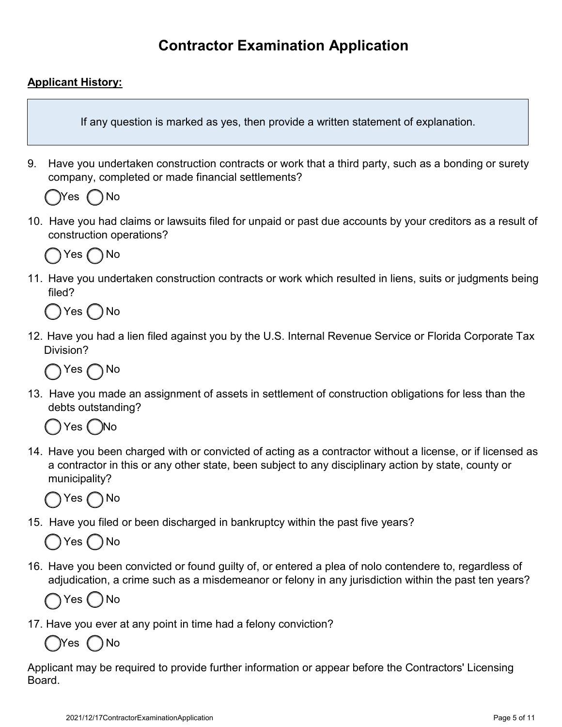# **Applicant History:**

If any question is marked as yes, then provide a written statement of explanation.

9. Have you undertaken construction contracts or work that a third party, such as a bonding or surety company, completed or made financial settlements?

Yes *(* )No

10. Have you had claims or lawsuits filed for unpaid or past due accounts by your creditors as a result of construction operations?



11. Have you undertaken construction contracts or work which resulted in liens, suits or judgments being filed?

Yes ( ) No

12. Have you had a lien filed against you by the U.S. Internal Revenue Service or Florida Corporate Tax Division?



13. Have you made an assignment of assets in settlement of construction obligations for less than the debts outstanding?

Yes ( )No

14. Have you been charged with or convicted of acting as a contractor without a license, or if licensed as a contractor in this or any other state, been subject to any disciplinary action by state, county or municipality?



15. Have you filed or been discharged in bankruptcy within the past five years?

Yes ( ) No

16. Have you been convicted or found guilty of, or entered a plea of nolo contendere to, regardless of adjudication, a crime such as a misdemeanor or felony in any jurisdiction within the past ten years?



17. Have you ever at any point in time had a felony conviction?

Yes ( )No

Applicant may be required to provide further information or appear before the Contractors' Licensing Board.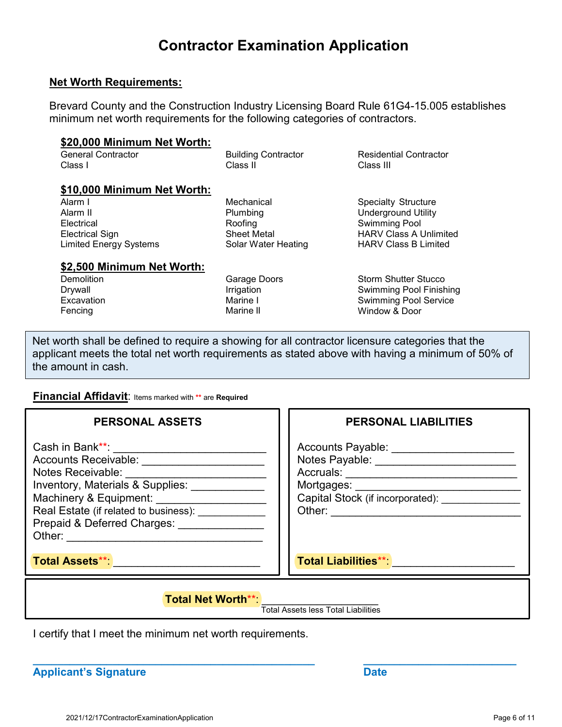#### **Net Worth Requirements:**

Brevard County and the Construction Industry Licensing Board Rule 61G4-15.005 establishes minimum net worth requirements for the following categories of contractors.

#### **\$20,000 Minimum Net Worth:**

| General Contractor | <b>Building Contractor</b> | Residential |
|--------------------|----------------------------|-------------|
| Class I            | Class II                   | Class III   |

#### **\$10,000 Minimum Net Worth:**

Alarm I Alarm II **Electrical** Electrical Sign Limited Energy Systems

**Mechanical** Plumbing Roofing Sheet Metal Solar Water Heating

#### **\$2,500 Minimum Net Worth:**

**Demolition** Drywall **Excavation** Fencing

Garage Doors Irrigation Marine I Marine II

**Contractor** 

Specialty Structure Underground Utility Swimming Pool HARV Class A Unlimited HARV Class B Limited

Storm Shutter Stucco Swimming Pool Finishing Swimming Pool Service Window & Door

Net worth shall be defined to require a showing for all contractor licensure categories that the applicant meets the total net worth requirements as stated above with having a minimum of 50% of the amount in cash.

#### **Financial Affidavit**: Items marked with **\*\*** are **Required**

| <b>PERSONAL ASSETS</b>                                                                                                                                                                                                                                                                                                           | PERSONAL LIABILITIES                                                                                                                                                               |
|----------------------------------------------------------------------------------------------------------------------------------------------------------------------------------------------------------------------------------------------------------------------------------------------------------------------------------|------------------------------------------------------------------------------------------------------------------------------------------------------------------------------------|
| Cash in Bank**: <b>Cash</b><br>Accounts Receivable: __________________<br>Notes Receivable: ________<br>Inventory, Materials & Supplies:<br>Machinery & Equipment: ______________________<br>Real Estate (if related to business): [2000]<br>Prepaid & Deferred Charges: Network Charges<br>Other: _____________________________ | Accounts Payable: Network and Accounts Payable:<br>Notes Payable: _______________________<br>Accruals: _______________<br>Mortgages:<br>Capital Stock (if incorporated):<br>Other: |
| <b>Total Assets**:</b>                                                                                                                                                                                                                                                                                                           | <b>Total Liabilities**</b>                                                                                                                                                         |

**\_\_\_\_\_\_\_\_\_\_\_\_\_\_\_\_\_\_\_\_\_\_\_\_\_\_\_\_\_\_\_\_\_\_\_\_\_\_\_\_\_\_\_\_\_\_ \_\_\_\_\_\_\_\_\_\_\_\_\_\_\_\_\_\_\_\_\_\_\_\_\_**

**Total Net Worth\*\*:** 

Total Assets less Total Liabilities

I certify that I meet the minimum net worth requirements.

**Applicant's Signature Date**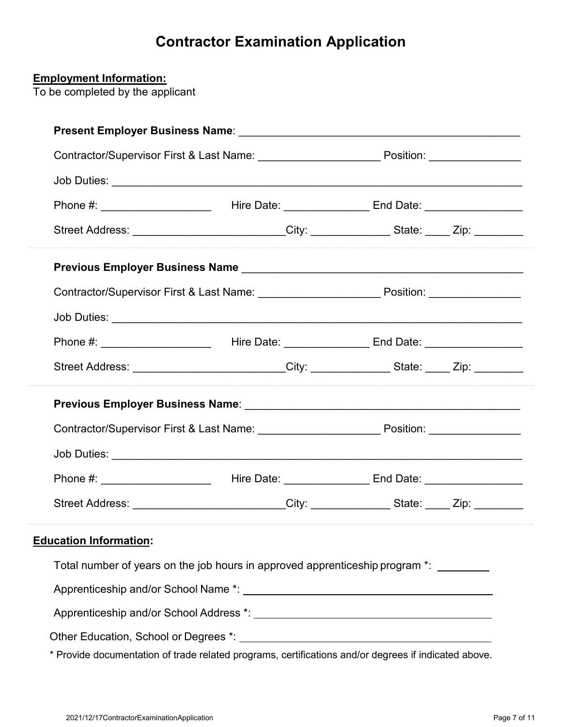| Street Address: __________________________City: ______________State: _____ Zip: _________           |  |           |  |
|-----------------------------------------------------------------------------------------------------|--|-----------|--|
|                                                                                                     |  |           |  |
| Contractor/Supervisor First & Last Name: _____________________________Position: ___________________ |  |           |  |
|                                                                                                     |  |           |  |
|                                                                                                     |  |           |  |
| Street Address: __________________________City: ______________State: _____ Zip: _________           |  |           |  |
|                                                                                                     |  |           |  |
| Contractor/Supervisor First & Last Name: ____________________________Position: ____________________ |  |           |  |
|                                                                                                     |  |           |  |
| Phone #:<br><b>Example 2018</b> Hire Date:                                                          |  | End Date: |  |
| Street Address: __________________________City: _______________State: _____ Zip: __________         |  |           |  |
| <b>Education Information:</b>                                                                       |  |           |  |
| Total number of years on the job hours in approved apprenticeship program *: ________               |  |           |  |
|                                                                                                     |  |           |  |
|                                                                                                     |  |           |  |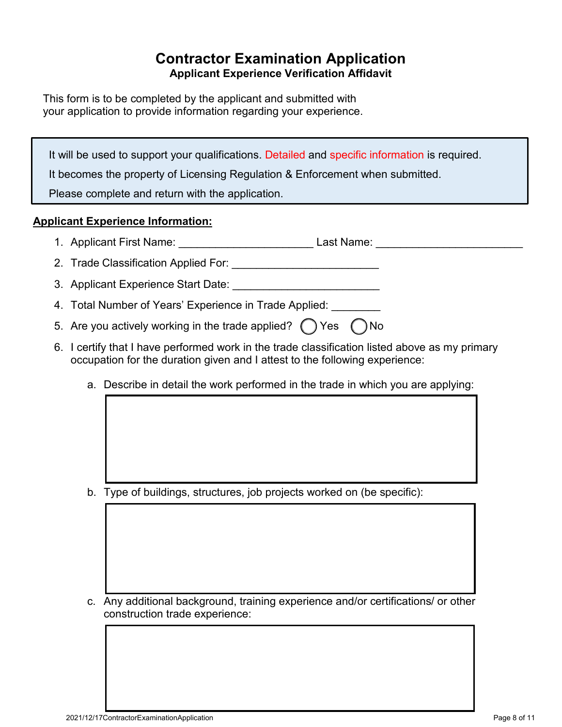# **Contractor Examination Application Applicant Experience Verification Affidavit**

This form is to be completed by the applicant and submitted with your application to provide information regarding your experience.

It will be used to support your qualifications. Detailed and specific information is required.

It becomes the property of Licensing Regulation & Enforcement when submitted.

Please complete and return with the application.

## **Applicant Experience Information:**

- 1. Applicant First Name: \_\_\_\_\_\_\_\_\_\_\_\_\_\_\_\_\_\_\_\_\_\_\_\_\_\_\_\_\_\_\_\_Last Name: \_\_\_\_\_\_\_\_\_\_\_\_
- 2. Trade Classification Applied For: \_\_\_\_\_\_\_\_\_\_\_\_\_\_\_\_\_\_\_\_\_\_\_\_
- 3. Applicant Experience Start Date:
- 4. Total Number of Years' Experience in Trade Applied:
- 5. Are you actively working in the trade applied?  $\bigcap$  Yes  $\bigcap$  No
- 6. I certify that I have performed work in the trade classification listed above as my primary occupation for the duration given and I attest to the following experience:
	- a. Describe in detail the work performed in the trade in which you are applying:

b. Type of buildings, structures, job projects worked on (be specific):

c. Any additional background, training experience and/or certifications/ or other construction trade experience: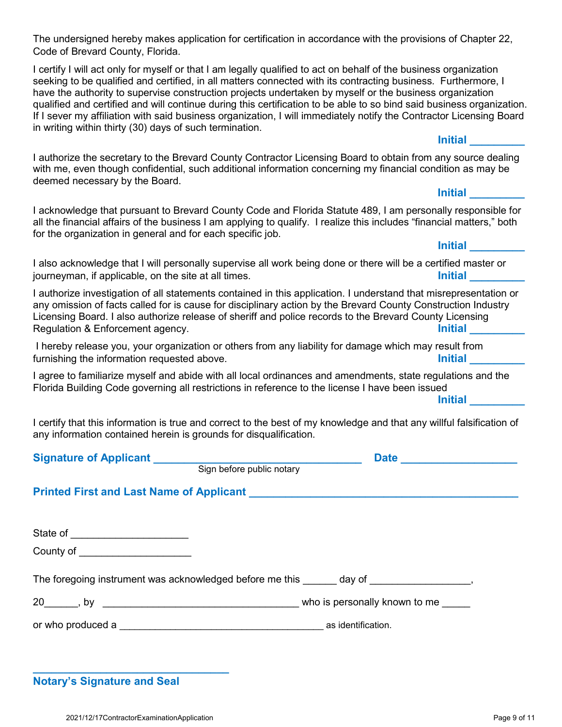The undersigned hereby makes application for certification in accordance with the provisions of Chapter 22, Code of Brevard County, Florida.

I certify I will act only for myself or that I am legally qualified to act on behalf of the business organization seeking to be qualified and certified, in all matters connected with its contracting business. Furthermore, I have the authority to supervise construction projects undertaken by myself or the business organization qualified and certified and will continue during this certification to be able to so bind said business organization. If I sever my affiliation with said business organization, I will immediately notify the Contractor Licensing Board in writing within thirty (30) days of such termination.

#### **Initial \_\_\_\_\_\_\_\_\_**

I authorize the secretary to the Brevard County Contractor Licensing Board to obtain from any source dealing with me, even though confidential, such additional information concerning my financial condition as may be deemed necessary by the Board.

#### **Initial \_\_\_\_\_\_\_\_\_**

I acknowledge that pursuant to Brevard County Code and Florida Statute 489, I am personally responsible for all the financial affairs of the business I am applying to qualify. I realize this includes "financial matters," both for the organization in general and for each specific job.

## **Initial \_\_\_\_\_\_\_\_\_**

I also acknowledge that I will personally supervise all work being done or there will be a certified master or journeyman, if applicable, on the site at all times. **Initial and the site of the site at all times** by the site of the site at all times.

I authorize investigation of all statements contained in this application. I understand that misrepresentation or any omission of facts called for is cause for disciplinary action by the Brevard County Construction Industry Licensing Board. I also authorize release of sheriff and police records to the Brevard County Licensing Regulation & Enforcement agency. **Initial and Contract and Contract and Contract and Contract and Contract and Contract and Contract and Contract and Contract and Contract and Contract and Contract and Contract and Contrac** 

I hereby release you, your organization or others from any liability for damage which may result from furnishing the information requested above. **Initial and the initial development of the initial** state of the initial state of the initial state of the initial state of the initial state of the initial state of the initial

I agree to familiarize myself and abide with all local ordinances and amendments, state regulations and the Florida Building Code governing all restrictions in reference to the license I have been issued

**Initial \_\_\_\_\_\_\_\_\_**

I certify that this information is true and correct to the best of my knowledge and that any willful falsification of any information contained herein is grounds for disqualification.

|                                                                                               | Sign before public notary | Date |
|-----------------------------------------------------------------------------------------------|---------------------------|------|
| Printed First and Last Name of Applicant Manuscript And Applicant Manuscript Applicant        |                           |      |
| State of ________________________                                                             |                           |      |
| County of _____________________                                                               |                           |      |
| The foregoing instrument was acknowledged before me this ______ day of _____________________, |                           |      |
|                                                                                               |                           |      |
|                                                                                               |                           |      |
|                                                                                               |                           |      |

**\_\_\_\_\_\_\_\_\_\_\_\_\_\_\_\_\_\_\_\_\_\_\_\_\_\_\_\_\_\_\_\_ Notary's Signature and Seal**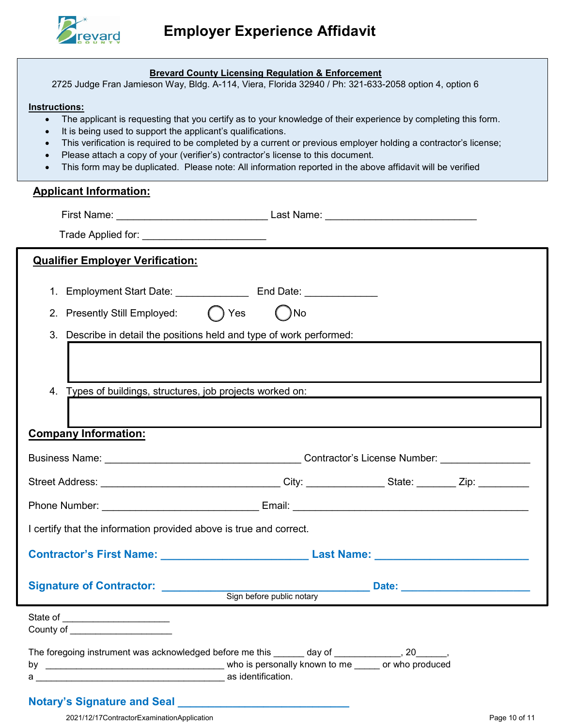

#### **Brevard County Licensing Regulation & Enforcement**

2725 Judge Fran Jamieson Way, Bldg. A-114, Viera, Florida 32940 / Ph: 321-633-2058 option 4, option 6

#### **Instructions:**

- The applicant is requesting that you certify as to your knowledge of their experience by completing this form.
- It is being used to support the applicant's qualifications.
- This verification is required to be completed by a current or previous employer holding a contractor's license;
- Please attach a copy of your (verifier's) contractor's license to this document.
- This form may be duplicated. Please note: All information reported in the above affidavit will be verified

#### **Applicant Information:**

| Trade Applied for: _________________________                                                                        |                           |                                                                                                                      |
|---------------------------------------------------------------------------------------------------------------------|---------------------------|----------------------------------------------------------------------------------------------------------------------|
| <b>Qualifier Employer Verification:</b>                                                                             |                           |                                                                                                                      |
|                                                                                                                     |                           |                                                                                                                      |
| 2. Presently Still Employed: () Yes                                                                                 | $( )$ No                  |                                                                                                                      |
| 3. Describe in detail the positions held and type of work performed:                                                |                           |                                                                                                                      |
|                                                                                                                     |                           |                                                                                                                      |
| 4. Types of buildings, structures, job projects worked on: The manufacturer of the manufacturer of the manufacturer |                           |                                                                                                                      |
|                                                                                                                     |                           |                                                                                                                      |
| <b>Company Information:</b>                                                                                         |                           |                                                                                                                      |
|                                                                                                                     |                           |                                                                                                                      |
|                                                                                                                     |                           |                                                                                                                      |
|                                                                                                                     |                           |                                                                                                                      |
| I certify that the information provided above is true and correct.                                                  |                           |                                                                                                                      |
| Contractor's First Name: __________________________________Last Name: ______________________________                |                           |                                                                                                                      |
| Signature of Contractor: __________                                                                                 | Sign before public notary | <u>Date: Date: Date: Date: District of Date: District of Date: District of Date: District of Date: District of D</u> |
| State of ________________________<br>County of <b>Exercise Services County of</b>                                   |                           |                                                                                                                      |
| The foregoing instrument was acknowledged before me this ______ day of ____________, 20______,                      |                           |                                                                                                                      |

### **Notary's Signature and Seal \_\_\_\_\_\_\_\_\_\_\_\_\_\_\_\_\_\_\_\_\_\_\_\_\_\_\_\_**